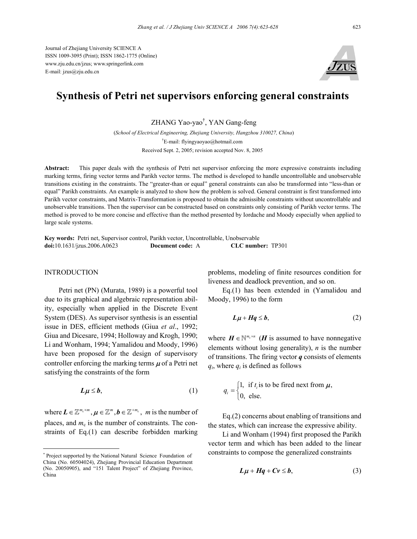Journal of Zhejiang University SCIENCE A ISSN 1009-3095 (Print); ISSN 1862-1775 (Online) www.zju.edu.cn/jzus; www.springerlink.com E-mail: jzus@zju.edu.cn



# **Synthesis of Petri net supervisors enforcing general constraints**

ZHANG Yao-yao† , YAN Gang-feng

(*School of Electrical Engineering, Zhejiang University, Hangzhou 310027, China*) † E-mail: flyingyaoyao@hotmail.com Received Sept. 2, 2005; revision accepted Nov. 8, 2005

**Abstract:** This paper deals with the synthesis of Petri net supervisor enforcing the more expressive constraints including marking terms, firing vector terms and Parikh vector terms. The method is developed to handle uncontrollable and unobservable transitions existing in the constraints. The "greater-than or equal" general constraints can also be transformed into "less-than or equal" Parikh constraints. An example is analyzed to show how the problem is solved. General constraint is first transformed into Parikh vector constraints, and Matrix-Transformation is proposed to obtain the admissible constraints without uncontrollable and unobservable transitions. Then the supervisor can be constructed based on constraints only consisting of Parikh vector terms. The method is proved to be more concise and effective than the method presented by Iordache and Moody especially when applied to large scale systems.

**Key words:** Petri net, Supervisor control, Parikh vector, Uncontrollable, Unobservable **doi:**10.1631/jzus.2006.A0623 **Document code:** A **CLC number:** TP301

## **INTRODUCTION**

Petri net (PN) (Murata, 1989) is a powerful tool due to its graphical and algebraic representation ability, especially when applied in the Discrete Event System (DES). As supervisor synthesis is an essential issue in DES, efficient methods (Giua *et al*., 1992; Giua and Dicesare, 1994; Holloway and Krogh, 1990; Li and Wonham, 1994; Yamalidou and Moody, 1996) have been proposed for the design of supervisory controller enforcing the marking terms  $\mu$  of a Petri net satisfying the constraints of the form

$$
L\mu \leq b, \tag{1}
$$

where  $\mathbf{L} \in \mathbb{Z}^{m_{\text{c}} \times m}$ ,  $\mathbf{\mu} \in \mathbb{Z}^{m}$ ,  $\mathbf{b} \in \mathbb{Z}^{+m_{\text{c}}}, m$  is the number of places, and  $m<sub>c</sub>$  is the number of constraints. The constraints of Eq.(1) can describe forbidden marking

problems, modeling of finite resources condition for liveness and deadlock prevention, and so on.

Eq.(1) has been extended in (Yamalidou and Moody, 1996) to the form

$$
L\mu + Hq \le b, \tag{2}
$$

where  $H \in \mathbb{N}^{m_c \times n}$  (*H* is assumed to have nonnegative elements without losing generality), *n* is the number of transitions. The firing vector *q* consists of elements  $q_i$ , where  $q_i$  is defined as follows

$$
q_i = \begin{cases} 1, & \text{if } t_i \text{ is to be fired next from } \mu, \\ 0, & \text{else.} \end{cases}
$$

Eq.(2) concerns about enabling of transitions and the states, which can increase the expressive ability.

Li and Wonham (1994) first proposed the Parikh vector term and which has been added to the linear constraints to compose the generalized constraints

$$
L\mu + Hq + Cv \leq b, \tag{3}
$$

<sup>\*</sup> Project supported by the National Natural Science Foundation of China (No. 60504024), Zhejiang Provincial Education Department (No. 20050905), and "151 Talent Project" of Zhejiang Province, China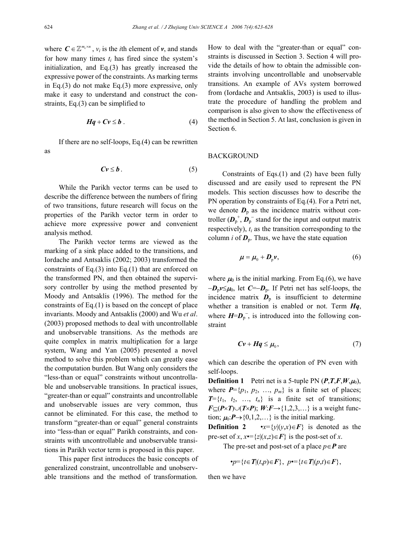where  $C \in \mathbb{Z}^{m_c \times n}$ ,  $v_i$  is the *i*th element of *v*, and stands for how many times  $t_i$  has fired since the system's initialization, and Eq.(3) has greatly increased the expressive power of the constraints. As marking terms in Eq.(3) do not make Eq.(3) more expressive, only make it easy to understand and construct the constraints, Eq.(3) can be simplified to

$$
Hq + Cv \leq b \tag{4}
$$

If there are no self-loops, Eq.(4) can be rewritten as

$$
Cv \leq b \tag{5}
$$

While the Parikh vector terms can be used to describe the difference between the numbers of firing of two transitions, future research will focus on the properties of the Parikh vector term in order to achieve more expressive power and convenient analysis method.

The Parikh vector terms are viewed as the marking of a sink place added to the transitions, and Iordache and Antsaklis (2002; 2003) transformed the constraints of Eq. $(3)$  into Eq. $(1)$  that are enforced on the transformed PN, and then obtained the supervisory controller by using the method presented by Moody and Antsaklis (1996). The method for the constraints of Eq.(1) is based on the concept of place invariants. Moody and Antsaklis (2000) and Wu *et al*. (2003) proposed methods to deal with uncontrollable and unobservable transitions. As the methods are quite complex in matrix multiplication for a large system, Wang and Yan (2005) presented a novel method to solve this problem which can greatly ease the computation burden. But Wang only considers the "less-than or equal" constraints without uncontrollable and unobservable transitions. In practical issues, "greater-than or equal" constraints and uncontrollable and unobservable issues are very common, thus cannot be eliminated. For this case, the method to transform "greater-than or equal" general constraints into "less-than or equal" Parikh constraints, and constraints with uncontrollable and unobservable transitions in Parikh vector term is proposed in this paper.

This paper first introduces the basic concepts of generalized constraint, uncontrollable and unobservable transitions and the method of transformation. How to deal with the "greater-than or equal" constraints is discussed in Section 3. Section 4 will provide the details of how to obtain the admissible constraints involving uncontrollable and unobservable transitions. An example of AVs system borrowed from (Iordache and Antsaklis, 2003) is used to illustrate the procedure of handling the problem and comparison is also given to show the effectiveness of the method in Section 5. At last, conclusion is given in Section 6.

#### BACKGROUND

Constraints of Eqs.(1) and (2) have been fully discussed and are easily used to represent the PN models. This section discusses how to describe the PN operation by constraints of Eq.(4). For a Petri net, we denote  $D_p$  as the incidence matrix without controller  $(D_p^+, D_p^-$  stand for the input and output matrix respectively),  $t_i$  as the transition corresponding to the column *i* of  $D_p$ . Thus, we have the state equation

$$
\boldsymbol{\mu} = \boldsymbol{\mu}_0 + \boldsymbol{D}_p \boldsymbol{v},\tag{6}
$$

where  $\mu_0$  is the initial marking. From Eq.(6), we have −*D*p*v*≤µ0, let *C*=−*D*p. If Petri net has self-loops, the incidence matrix  $\mathbf{D}_{\text{p}}$  is insufficient to determine whether a transition is enabled or not. Term *Hq*, where  $H = D_p^-$ , is introduced into the following constraint

$$
Cv + Hq \le \mu_0, \tag{7}
$$

which can describe the operation of PN even with self-loops.

**Definition 1** Petri net is a 5-tuple PN  $(P, T, F, W, \mu_0)$ , where  $P=\{p_1, p_2, ..., p_m\}$  is a finite set of places;  $T=\{t_1, t_2, \ldots, t_n\}$  is a finite set of transitions; *F*⊆(*P*×*T*)∪(*T*×*P*); *W*:*F*→{1,2,3,...} is a weight function;  $\mu_0: P \rightarrow \{0,1,2,...\}$  is the initial marking.

**Definition 2** •*x*={*y*|(*y*,*x*)∈*F*} is denoted as the pre-set of *x*,  $x \equiv \{z | (x,z) \in F\}$  is the post-set of *x*.

The pre-set and post-set of a place  $p \in P$  are

$$
\bullet p = \{t \in T | (t, p) \in F\}, \ p \bullet = \{t \in T | (p, t) \in F\},
$$

then we have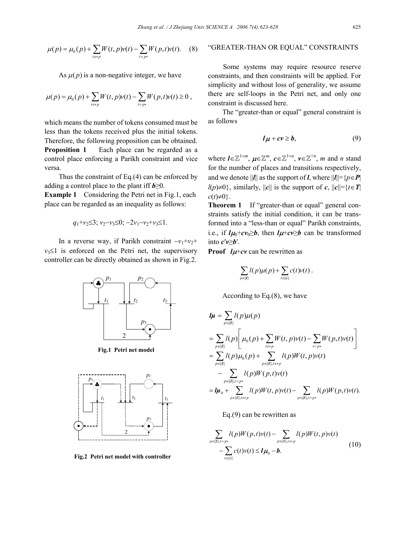$$
\mu(p) = \mu_0(p) + \sum_{t \in \mathbf{P}} W(t, p)\nu(t) - \sum_{t = p^*} W(p, t)\nu(t). \tag{8}
$$

As  $\mu(p)$  is a non-negative integer, we have

$$
\mu(p) = \mu_0(p) + \sum_{t \in \mathbf{p}} W(t, p)\nu(t) - \sum_{t = p} W(p, t)\nu(t) \ge 0,
$$

which means the number of tokens consumed must be less than the tokens received plus the initial tokens. Therefore, the following proposition can be obtained. **Proposition 1** Each place can be regarded as a control place enforcing a Parikh constraint and vice versa.

Thus the constraint of Eq.(4) can be enforced by adding a control place to the plant iff  $b \geq 0$ .

**Example 1** Considering the Petri net in Fig.1, each place can be regarded as an inequality as follows:

$$
q_1+v_2\leq 3
$$
;  $v_2-v_3\leq 0$ ;  $-2v_1-v_2+v_3\leq 1$ .

In a reverse way, if Parikh constraint  $-v_1+v_2$ +  $v_3 \leq 1$  is enforced on the Petri net, the supervisory controller can be directly obtained as shown in Fig.2.



**Fig.1 Petri net model**



**Fig.2 Petri net model with controller** 

## "GREATER-THAN OR EQUAL" CONSTRAINTS

Some systems may require resource reserve constraints, and then constraints will be applied. For simplicity and without loss of generality, we assume there are self-loops in the Petri net, and only one constraint is discussed here.

The "greater-than or equal" general constraint is as follows

$$
l\mu + cv \geq b, \tag{9}
$$

where  $\boldsymbol{l} \in \mathbb{Z}^{1 \times m}$ ,  $\boldsymbol{\mu} \in \mathbb{Z}^{m}$ ,  $\boldsymbol{c} \in \mathbb{Z}^{1 \times n}$ ,  $\boldsymbol{\nu} \in \mathbb{Z}^{+n}$ , m and *n* stand for the number of places and transitions respectively, and we denote  $||\mathbf{l}||$  as the support of *l*, where  $||\mathbf{l}|| = {p \in \mathbf{P}}$  $l(p) \neq 0$ , similarly,  $||c||$  is the support of *c*,  $||c|| = {t \in T}$  $c(t) \neq 0$ .

**Theorem 1** If "greater-than or equal" general constraints satisfy the initial condition, it can be transformed into a "less-than or equal" Parikh constraints, i.e., if  $l\mu_0+c\nu_0\geq b$ , then  $l\mu+c\nu\geq b$  can be transformed into  $c'v \ge b'$ .

**Proof**  $l\mu$ +*cv* can be rewritten as

$$
\sum_{p\in\|I\|}l(p)\mu(p)+\sum_{t\in\|c\|}c(t)\nu(t).
$$

According to Eq.(8), we have

$$
\begin{split} &\boldsymbol{l}\boldsymbol{\mu} = \sum_{p \in ||\boldsymbol{I}||} l(p) \boldsymbol{\mu}(p) \\ &= \sum_{p \in ||\boldsymbol{I}||} l(p) \Bigg[ \mu_0(p) + \sum_{t \in \boldsymbol{r}} W(t, p) \boldsymbol{v}(t) - \sum_{t = p} W(p, t) \boldsymbol{v}(t) \Bigg] \\ &= \sum_{p \in ||\boldsymbol{I}||} l(p) \mu_0(p) + \sum_{p \in ||\boldsymbol{I}||, t \in \boldsymbol{r}} l(p) W(t, p) \boldsymbol{v}(t) \\ &- \sum_{p \in ||\boldsymbol{I}||, t = p} l(p) W(p, t) \boldsymbol{v}(t) \\ &= \boldsymbol{l}\boldsymbol{\mu}_0 + \sum_{p \in ||\boldsymbol{I}||, t \in \boldsymbol{r}p} l(p) W(t, p) \boldsymbol{v}(t) - \sum_{p \in ||\boldsymbol{I}||, t = p} l(p) W(p, t) \boldsymbol{v}(t). \end{split}
$$

Eq.(9) can be rewritten as

$$
\sum_{p\in ||I||,t=p} l(p)W(p,t)v(t) - \sum_{p\in ||I||,t\in\mathbf{P}} l(p)W(t,p)v(t) - \sum_{t\in ||c||} c(t)v(t) \leq I\mu_0 - b.
$$
\n(10)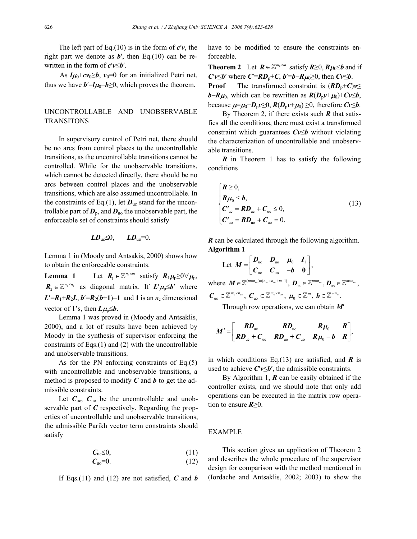The left part of Eq.(10) is in the form of *c*′*v*, the right part we denote as **, then Eq.(10) can be re**written in the form of *c*′*v*≤*b*′.

As  $l\mu_0+c\nu_0\geq b$ ,  $\nu_0=0$  for an initialized Petri net, thus we have  $b′=l\mu_0-b≥0$ , which proves the theorem.

# UNCONTROLLABLE AND UNOBSERVABLE **TRANSITONS**

In supervisory control of Petri net, there should be no arcs from control places to the uncontrollable transitions, as the uncontrollable transitions cannot be controlled. While for the unobservable transitions, which cannot be detected directly, there should be no arcs between control places and the unobservable transitions, which are also assumed uncontrollable. In the constraints of Eq.(1), let  $D_{\text{uc}}$  stand for the uncontrollable part of  $D_{\rm p}$ , and  $D_{\rm u0}$  the unobservable part, the enforceable set of constraints should satisfy

$$
LD_{uc} \leq 0, \qquad LD_{uo} = 0.
$$

Lemma 1 in (Moody and Antsakis, 2000) shows how to obtain the enforceable constraints.

**Lemma 1** Let  $R_1 \in \mathbb{Z}^{n_c \times m}$  satisfy  $R_1\mu_{p} \geq 0 \forall \mu_{p}$ ,  $\mathbf{R}_2 \in \mathbb{Z}^{n_c \times n_c}$  as diagonal matrix. If  $\mathbf{L}'\mathbf{\mu}_p \leq \mathbf{b}'$  where  $L' = R_1 + R_2L$ ,  $b' = R_2(b+1) - 1$  and 1 is an  $n_c$  dimensional vector of 1's, then  $L\mu_{p} \leq b$ .

Lemma 1 was proved in (Moody and Antsaklis, 2000), and a lot of results have been achieved by Moody in the synthesis of supervisor enforcing the constraints of Eqs.(1) and (2) with the uncontrollable and unobservable transitions.

As for the PN enforcing constraints of Eq.(5) with uncontrollable and unobservable transitions, a method is proposed to modify *C* and *b* to get the admissible constraints.

Let  $C_{\text{uc}}$ ,  $C_{\text{uo}}$  be the uncontrollable and unobservable part of *C* respectively. Regarding the properties of uncontrollable and unobservable transitions, the admissible Parikh vector term constraints should satisfy

$$
C_{\rm uc} \leq 0,\tag{11}
$$

$$
C_{\rm u0}=0.\tag{12}
$$

If Eqs.(11) and (12) are not satisfied,  $C$  and  $b$ 

have to be modified to ensure the constraints enforceable.

**Theorem 2** Let  $R \in \mathbb{Z}^{m_c \times m}$  satisfy  $R \ge 0$ ,  $R\mu_0 \le b$  and if  $C'v \le b'$  where  $C' = RD_p + C$ ,  $b' = b - R\mu_0 \ge 0$ , then  $Cv \le b$ . **Proof** The transformed constraint is  $(RD_p+C)v \leq$ *b*−*R* $\mu$ <sub>0</sub>, which can be rewritten as  $R(D_p v + \mu_0) + Cv ≤ b$ , because  $\mu = \mu_0 + D_p v \ge 0$ ,  $R(D_p v + \mu_0) \ge 0$ , therefore  $Cv \le b$ .

By Theorem 2, if there exists such *R* that satisfies all the conditions, there must exist a transformed constraint which guarantees *Cv*≤*b* without violating the characterization of uncontrollable and unobservable transitions.

*R* in Theorem 1 has to satisfy the following conditions

$$
\begin{cases}\nR \ge 0, \\
R\mu_0 \le b, \\
C'_{uc} = R D_{uc} + C_{uc} \le 0, \\
C'_{uo} = R D_{uo} + C_{uo} = 0.\n\end{cases}
$$
\n(13)

*R* can be calculated through the following algorithm. **Algorithm 1** 

Let 
$$
M = \begin{bmatrix} D_{\text{uc}} & D_{\text{uo}} & \mu_0 & I_1 \\ C_{\text{uc}} & C_{\text{uo}} & -b & 0 \end{bmatrix}
$$
,

where  $M \in \mathbb{Z}^{(m \times n_{\text{uc}}) \times (n_{\text{uc}} + n_{\text{uo}} + m + 1)}$ ,  $D_{\text{uc}} \in \mathbb{Z}^{m \times n_{\text{uc}}}$ ,  $D_{\text{uo}} \in \mathbb{Z}^{m \times n_{\text{uo}}}$ ,

 $\boldsymbol{C}_{\text{uc}} \in \mathbb{Z}^{m_{\text{c}} \times n_{\text{uc}}}, \ \boldsymbol{C}_{\text{uo}} \in \mathbb{Z}^{m_{\text{c}} \times n_{\text{uo}}}, \ \boldsymbol{\mu}_{0} \in \mathbb{Z}^{m}, \ \boldsymbol{b} \in \mathbb{Z}^{+m_{\text{c}}}.$ 

Through row operations, we can obtain *M*′

$$
M'=\begin{bmatrix} R D_{\rm uc} & R D_{\rm u0} & R \mu_0 & R \\ R D_{\rm uc} + C_{\rm uc} & R D_{\rm u0} + C_{\rm u0} & R \mu_0 - b & R \end{bmatrix},
$$

in which conditions Eq.(13) are satisfied, and  $\boldsymbol{R}$  is used to achieve *C*′*v*≤*b*′, the admissible constraints.

By Algorithm 1, *R* can be easily obtained if the controller exists, and we should note that only add operations can be executed in the matrix row operation to ensure *R*≥0.

# EXAMPLE

This section gives an application of Theorem 2 and describes the whole procedure of the supervisor design for comparison with the method mentioned in (Iordache and Antsaklis, 2002; 2003) to show the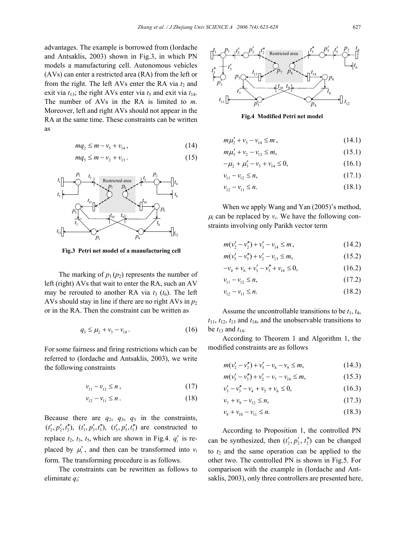advantages. The example is borrowed from (Iordache and Antsaklis, 2003) shown in Fig.3, in which PN models a manufacturing cell. Autonomous vehicles (AVs) can enter a restricted area (RA) from the left or from the right. The left AVs enter the RA via  $t_2$  and exit via  $t_{13}$ ; the right AVs enter via  $t_5$  and exit via  $t_{14}$ . The number of AVs in the RA is limited to *m*. Moreover, left and right AVs should not appear in the RA at the same time. These constraints can be written as

$$
mq_2 \le m - \nu_s + \nu_{14},\tag{14}
$$

$$
mq_5 \le m - \nu_2 + \nu_{13} \,. \tag{15}
$$



**Fig.3 Petri net model of a manufacturing cell** 

The marking of  $p_1(p_2)$  represents the number of left (right) AVs that wait to enter the RA, such an AV may be rerouted to another RA via  $t_3$  ( $t_6$ ). The left AVs should stay in line if there are no right AVs in  $p_2$ or in the RA. Then the constraint can be written as

$$
q_3 \le \mu_2 + \nu_3 - \nu_{14} \,. \tag{16}
$$

For some fairness and firing restrictions which can be referred to (Iordache and Antsaklis, 2003), we write the following constraints

$$
v_{11} - v_{12} \le n \,, \tag{17}
$$

$$
v_{12} - v_{11} \le n \tag{18}
$$

Because there are  $q_2$ ,  $q_3$ ,  $q_5$  in the constraints,  $(t'_2, p'_2, t''_2)$ ,  $(t'_3, p'_3, t''_3)$ ,  $(t'_5, p'_5, t''_5)$  are constructed to replace  $t_2$ ,  $t_3$ ,  $t_5$ , which are shown in Fig.4.  $q'_i$  is replaced by  $\mu'_i$ , and then can be transformed into  $v_i$ form. The transforming procedure is as follows.

The constraints can be rewritten as follows to eliminate *qi*:



**Fig.4 Modified Petri net model** 

$$
m\mu'_2 + \nu_5 - \nu_{14} \le m\,,\tag{14.1}
$$

$$
m\mu'_5 + v_2 - v_{13} \le m,\t\t(15.1)
$$

$$
-\mu_2 + \mu'_3 - \nu_5 + \nu_{14} \le 0, \tag{16.1}
$$

$$
v_{11} - v_{12} \le n,\tag{17.1}
$$

$$
v_{12} - v_{11} \le n. \tag{18.1}
$$

When we apply Wang and Yan (2005)'s method,  $\mu_i$  can be replaced by  $v_i$ . We have the following constraints involving only Parikh vector term

$$
m(v'_2 - v''_2) + v'_5 - v_{14} \le m\,,\tag{14.2}
$$

$$
m(v'_5 - v''_5) + v'_2 - v_{13} \le m,\t\t(15.2)
$$

$$
-\nu_4 + \nu_6 + \nu_3' - \nu_3'' + \nu_{14} \le 0,\tag{16.2}
$$

$$
v_{11} - v_{12} \le n,\tag{17.2}
$$

$$
v_{12} - v_{11} \le n. \tag{18.2}
$$

Assume the uncontrollable transitions to be  $t_1$ ,  $t_4$ ,  $t_{11}$ ,  $t_{12}$ ,  $t_{13}$  and  $t_{14}$ , and the unobservable transitions to be  $t_{13}$  and  $t_{14}$ .

According to Theorem 1 and Algorithm 1, the modified constraints are as follows

$$
m(v'_2 - v''_2) + v'_5 - v_8 - v_9 \le m,\t\t(14.3)
$$

$$
m(v'_5 - v''_5) + v'_2 - v_7 - v_{10} \le m,\t\t(15.3)
$$

$$
v'_3 - v''_3 - v_4 + v_5 + v_6 \le 0,
$$
\n(16.3)

$$
v_7 + v_9 - v_{12} \le n,\tag{17.3}
$$

$$
v_8 + v_{10} - v_{11} \le n. \tag{18.3}
$$

According to Proposition 1, the controlled PN can be synthesized, then  $(t'_2, p'_2, t''_2)$  can be changed to  $t_2$  and the same operation can be applied to the other two. The controlled PN is shown in Fig.5. For comparison with the example in (Iordache and Antsaklis, 2003), only three controllers are presented here,